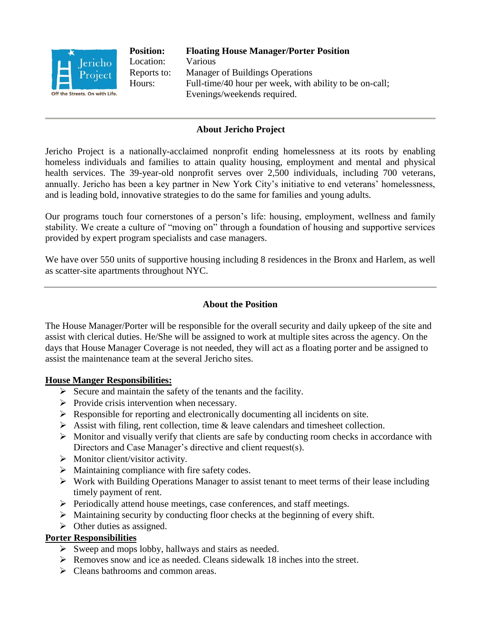

#### **About Jericho Project**

Jericho Project is a nationally-acclaimed nonprofit ending homelessness at its roots by enabling homeless individuals and families to attain quality housing, employment and mental and physical health services. The 39-year-old nonprofit serves over 2,500 individuals, including 700 veterans, annually. Jericho has been a key partner in New York City's initiative to end veterans' homelessness, and is leading bold, innovative strategies to do the same for families and young adults.

Our programs touch four cornerstones of a person's life: housing, employment, wellness and family stability. We create a culture of "moving on" through a foundation of housing and supportive services provided by expert program specialists and case managers.

We have over 550 units of supportive housing including 8 residences in the Bronx and Harlem, as well as scatter-site apartments throughout NYC.

#### **About the Position**

The House Manager/Porter will be responsible for the overall security and daily upkeep of the site and assist with clerical duties. He/She will be assigned to work at multiple sites across the agency. On the days that House Manager Coverage is not needed, they will act as a floating porter and be assigned to assist the maintenance team at the several Jericho sites.

#### **House Manger Responsibilities:**

- $\triangleright$  Secure and maintain the safety of the tenants and the facility.
- $\triangleright$  Provide crisis intervention when necessary.
- $\triangleright$  Responsible for reporting and electronically documenting all incidents on site.
- $\triangleright$  Assist with filing, rent collection, time & leave calendars and timesheet collection.
- $\triangleright$  Monitor and visually verify that clients are safe by conducting room checks in accordance with Directors and Case Manager's directive and client request(s).
- $\triangleright$  Monitor client/visitor activity.
- $\triangleright$  Maintaining compliance with fire safety codes.
- $\triangleright$  Work with Building Operations Manager to assist tenant to meet terms of their lease including timely payment of rent.
- $\triangleright$  Periodically attend house meetings, case conferences, and staff meetings.
- $\triangleright$  Maintaining security by conducting floor checks at the beginning of every shift.
- $\triangleright$  Other duties as assigned.

#### **Porter Responsibilities**

- $\triangleright$  Sweep and mops lobby, hallways and stairs as needed.
- $\triangleright$  Removes snow and ice as needed. Cleans sidewalk 18 inches into the street.
- $\triangleright$  Cleans bathrooms and common areas.